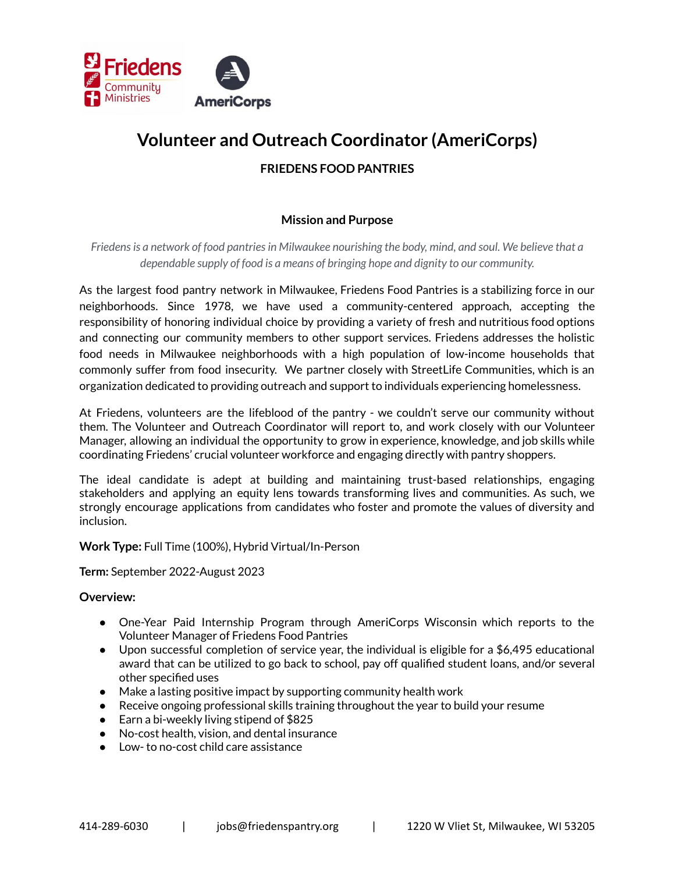

# **Volunteer and Outreach Coordinator (AmeriCorps)**

# **FRIEDENS FOOD PANTRIES**

## **Mission and Purpose**

*Friedensis a network of food pantriesin Milwaukee nourishing the body, mind, and soul. We believe that a dependable supply of food is a means of bringing hope and dignity to our community.*

As the largest food pantry network in Milwaukee, Friedens Food Pantries is a stabilizing force in our neighborhoods. Since 1978, we have used a community-centered approach, accepting the responsibility of honoring individual choice by providing a variety of fresh and nutritious food options and connecting our community members to other support services. Friedens addresses the holistic food needs in Milwaukee neighborhoods with a high population of low-income households that commonly suffer from food insecurity. We partner closely with StreetLife Communities, which is an organization dedicated to providing outreach and support to individuals experiencing homelessness.

At Friedens, volunteers are the lifeblood of the pantry - we couldn't serve our community without them. The Volunteer and Outreach Coordinator will report to, and work closely with our Volunteer Manager, allowing an individual the opportunity to grow in experience, knowledge, and job skills while coordinating Friedens' crucial volunteer workforce and engaging directly with pantry shoppers.

The ideal candidate is adept at building and maintaining trust-based relationships, engaging stakeholders and applying an equity lens towards transforming lives and communities. As such, we strongly encourage applications from candidates who foster and promote the values of diversity and inclusion.

**Work Type:** Full Time (100%), Hybrid Virtual/In-Person

**Term:** September 2022-August 2023

#### **Overview:**

- One-Year Paid Internship Program through AmeriCorps Wisconsin which reports to the Volunteer Manager of Friedens Food Pantries
- Upon successful completion of service year, the individual is eligible for a \$6,495 educational award that can be utilized to go back to school, pay off qualified student loans, and/or several other specified uses
- Make a lasting positive impact by supporting community health work
- Receive ongoing professional skills training throughout the year to build your resume
- Earn a bi-weekly living stipend of \$825
- No-cost health, vision, and dental insurance
- Low- to no-cost child care assistance